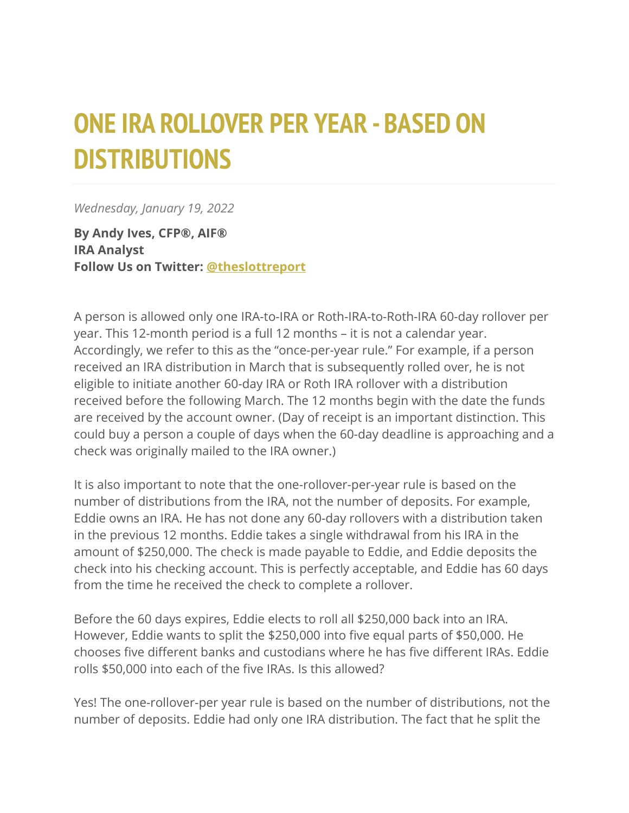## **ONE IRA ROLLOVER PER YEAR - BASED ON DISTRIBUTIONS**

*Wednesday, January 19, 2022*

**By Andy Ives, CFP®, AIF® IRA Analyst Follow Us on Twitter: [@theslottreport](https://twitter.com/theslottreport)**

A person is allowed only one IRA-to-IRA or Roth-IRA-to-Roth-IRA 60-day rollover per year. This 12-month period is a full 12 months – it is not a calendar year. Accordingly, we refer to this as the "once-per-year rule." For example, if a person received an IRA distribution in March that is subsequently rolled over, he is not eligible to initiate another 60-day IRA or Roth IRA rollover with a distribution received before the following March. The 12 months begin with the date the funds are received by the account owner. (Day of receipt is an important distinction. This could buy a person a couple of days when the 60-day deadline is approaching and a check was originally mailed to the IRA owner.)

It is also important to note that the one-rollover-per-year rule is based on the number of distributions from the IRA, not the number of deposits. For example, Eddie owns an IRA. He has not done any 60-day rollovers with a distribution taken in the previous 12 months. Eddie takes a single withdrawal from his IRA in the amount of \$250,000. The check is made payable to Eddie, and Eddie deposits the check into his checking account. This is perfectly acceptable, and Eddie has 60 days from the time he received the check to complete a rollover.

Before the 60 days expires, Eddie elects to roll all \$250,000 back into an IRA. However, Eddie wants to split the \$250,000 into five equal parts of \$50,000. He chooses five different banks and custodians where he has five different IRAs. Eddie rolls \$50,000 into each of the five IRAs. Is this allowed?

Yes! The one-rollover-per year rule is based on the number of distributions, not the number of deposits. Eddie had only one IRA distribution. The fact that he split the